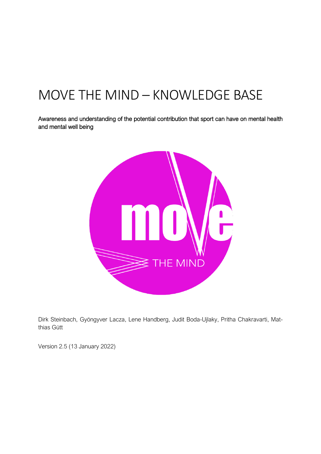# MOVE THE MIND – KNOWLEDGE BASE

Awareness and understanding of the potential contribution that sport can have on mental health and mental well being



Dirk Steinbach, Gyöngyver Lacza, Lene Handberg, Judit Boda-Ujlaky, Pritha Chakravarti, Matthias Gütt

Version 2.5 (13 January 2022)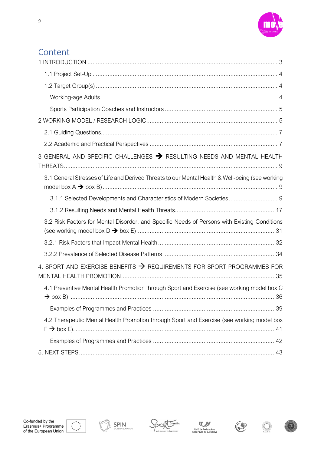

## Content

| 3 GENERAL AND SPECIFIC CHALLENGES > RESULTING NEEDS AND MENTAL HEALTH                           |  |
|-------------------------------------------------------------------------------------------------|--|
| 3.1 General Stresses of Life and Derived Threats to our Mental Health & Well-being (see working |  |
|                                                                                                 |  |
|                                                                                                 |  |
| 3.2 Risk Factors for Mental Disorder, and Specific Needs of Persons with Existing Conditions    |  |
|                                                                                                 |  |
|                                                                                                 |  |
| 4. SPORT AND EXERCISE BENEFITS $\rightarrow$ REQUIREMENTS FOR SPORT PROGRAMMES FOR              |  |
| 4.1 Preventive Mental Health Promotion through Sport and Exercise (see working model box C      |  |
|                                                                                                 |  |
| 4.2 Therapeutic Mental Health Promotion through Sport and Exercise (see working model box       |  |
|                                                                                                 |  |
|                                                                                                 |  |













 $\bigcirc$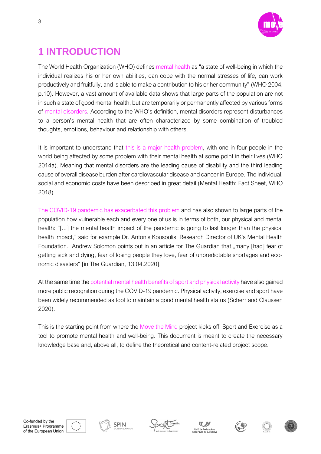

## <span id="page-2-0"></span>**1 INTRODUCTION**

The World Health Organization (WHO) defines mental health as "a state of well-being in which the individual realizes his or her own abilities, can cope with the normal stresses of life, can work productively and fruitfully, and is able to make a contribution to his or her community" (WHO 2004, p.10). However, a vast amount of available data shows that large parts of the population are not in such a state of good mental health, but are temporarily or permanently affected by various forms of mental disorders. According to the WHO's definition, mental disorders represent disturbances to a person's mental health that are often characterized by some combination of troubled thoughts, emotions, behaviour and relationship with others.

It is important to understand that this is a major health problem, with one in four people in the world being affected by some problem with their mental health at some point in their lives (WHO 2014a). Meaning that mental disorders are the leading cause of disability and the third leading cause of overall disease burden after cardiovascular disease and cancer in Europe. The individual, social and economic costs have been described in great detail (Mental Health: Fact Sheet, WHO 2018).

The COVID-19 pandemic has exacerbated this problem and has also shown to large parts of the population how vulnerable each and every one of us is in terms of both, our physical and mental health: "[...] the mental health impact of the pandemic is going to last longer than the physical health impact," said for example Dr. Antonis Kousoulis, Research Director of UK's Mental Health Foundation. Andrew Solomon points out in an article for The Guardian that "many [had] fear of getting sick and dying, fear of losing people they love, fear of unpredictable shortages and economic disasters" [in The Guardian, 13.04.2020].

At the same time the potential mental health benefits of sport and physical activity have also gained more public recognition during the COVID-19 pandemic. Physical activity, exercise and sport have been widely recommended as tool to maintain a good mental health status (Scherr and Claussen 2020).

This is the starting point from where the Move the Mind project kicks off. Sport and Exercise as a tool to promote mental health and well-being. This document is meant to create the necessary knowledge base and, above all, to define the theoretical and content-related project scope.













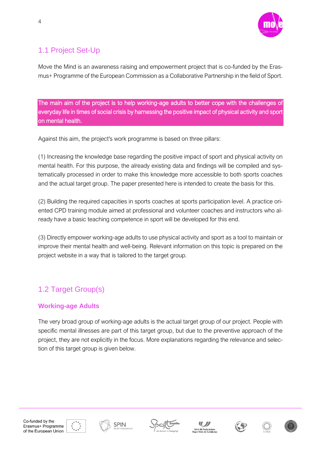

## <span id="page-3-0"></span>1.1 Project Set-Up

Move the Mind is an awareness raising and empowerment project that is co-funded by the Erasmus+ Programme of the European Commission as a Collaborative Partnership in the field of Sport.

The main aim of the project is to help working-age adults to better cope with the challenges of everyday life in times of social crisis by harnessing the positive impact of physical activity and sport on mental health.

Against this aim, the project's work programme is based on three pillars:

(1) Increasing the knowledge base regarding the positive impact of sport and physical activity on mental health. For this purpose, the already existing data and findings will be compiled and systematically processed in order to make this knowledge more accessible to both sports coaches and the actual target group. The paper presented here is intended to create the basis for this.

(2) Building the required capacities in sports coaches at sports participation level. A practice oriented CPD training module aimed at professional and volunteer coaches and instructors who already have a basic teaching competence in sport will be developed for this end.

(3) Directly empower working-age adults to use physical activity and sport as a tool to maintain or improve their mental health and well-being. Relevant information on this topic is prepared on the project website in a way that is tailored to the target group.

## <span id="page-3-1"></span>1.2 Target Group(s)

#### <span id="page-3-2"></span>**Working-age Adults**

The very broad group of working-age adults is the actual target group of our project. People with specific mental illnesses are part of this target group, but due to the preventive approach of the project, they are not explicitly in the focus. More explanations regarding the relevance and selection of this target group is given below.













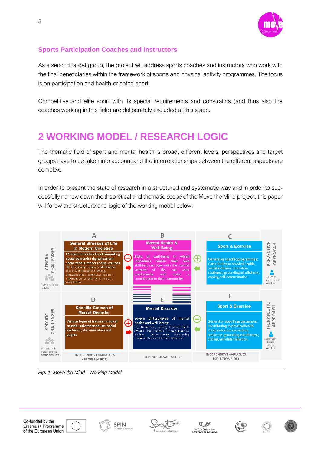

#### <span id="page-4-0"></span>**Sports Participation Coaches and Instructors**

As a second target group, the project will address sports coaches and instructors who work with the final beneficiaries within the framework of sports and physical activity programmes. The focus is on participation and health-oriented sport.

Competitive and elite sport with its special requirements and constraints (and thus also the coaches working in this field) are deliberately excluded at this stage.

## <span id="page-4-1"></span>**2 WORKING MODEL / RESEARCH LOGIC**

The thematic field of sport and mental health is broad, different levels, perspectives and target groups have to be taken into account and the interrelationships between the different aspects are complex.

In order to present the state of research in a structured and systematic way and in order to successfully narrow down the theoretical and thematic scope of the Move the Mind project, this paper will follow the structure and logic of the working model below:



*Fig. 1: Move the Mind - Working Model*











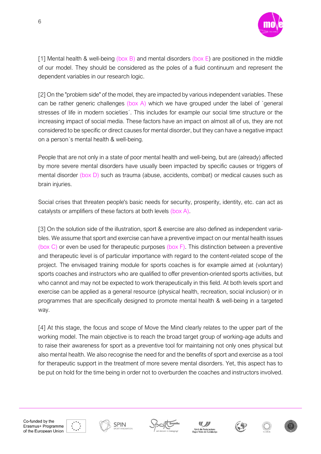

[1] Mental health & well-being (box B) and mental disorders (box E) are positioned in the middle of our model. They should be considered as the poles of a fluid continuum and represent the dependent variables in our research logic.

[2] On the "problem side" of the model, they are impacted by various independent variables. These can be rather generic challenges (box A) which we have grouped under the label of `general stresses of life in modern societies´. This includes for example our social time structure or the increasing impact of social media. These factors have an impact on almost all of us, they are not considered to be specific or direct causes for mental disorder, but they can have a negative impact on a person´s mental health & well-being.

People that are not only in a state of poor mental health and well-being, but are (already) affected by more severe mental disorders have usually been impacted by specific causes or triggers of mental disorder (box D) such as trauma (abuse, accidents, combat) or medical causes such as brain injuries.

Social crises that threaten people's basic needs for security, prosperity, identity, etc. can act as catalysts or amplifiers of these factors at both levels (box A).

[3] On the solution side of the illustration, sport & exercise are also defined as independent variables. We assume that sport and exercise can have a preventive impact on our mental health issues (box C) or even be used for therapeutic purposes (box F). This distinction between a preventive and therapeutic level is of particular importance with regard to the content-related scope of the project. The envisaged training module for sports coaches is for example aimed at (voluntary) sports coaches and instructors who are qualified to offer prevention-oriented sports activities, but who cannot and may not be expected to work therapeutically in this field. At both levels sport and exercise can be applied as a general resource (physical health, recreation, social inclusion) or in programmes that are specifically designed to promote mental health & well-being in a targeted way.

[4] At this stage, the focus and scope of Move the Mind clearly relates to the upper part of the working model. The main objective is to reach the broad target group of working-age adults and to raise their awareness for sport as a preventive tool for maintaining not only ones physical but also mental health. We also recognise the need for and the benefits of sport and exercise as a tool for therapeutic support in the treatment of more severe mental disorders. Yet, this aspect has to be put on hold for the time being in order not to overburden the coaches and instructors involved.









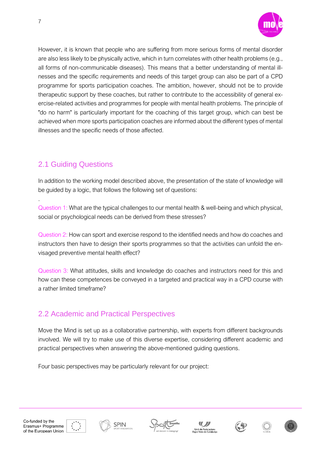

However, it is known that people who are suffering from more serious forms of mental disorder are also less likely to be physically active, which in turn correlates with other health problems (e.g., all forms of non-communicable diseases). This means that a better understanding of mental illnesses and the specific requirements and needs of this target group can also be part of a CPD programme for sports participation coaches. The ambition, however, should not be to provide therapeutic support by these coaches, but rather to contribute to the accessibility of general exercise-related activities and programmes for people with mental health problems. The principle of "do no harm" is particularly important for the coaching of this target group, which can best be achieved when more sports participation coaches are informed about the different types of mental illnesses and the specific needs of those affected.

## <span id="page-6-0"></span>2.1 Guiding Questions

7

.

In addition to the working model described above, the presentation of the state of knowledge will be guided by a logic, that follows the following set of questions:

Question 1: What are the typical challenges to our mental health & well-being and which physical, social or psychological needs can be derived from these stresses?

Question 2: How can sport and exercise respond to the identified needs and how do coaches and instructors then have to design their sports programmes so that the activities can unfold the envisaged preventive mental health effect?

Question 3: What attitudes, skills and knowledge do coaches and instructors need for this and how can these competences be conveyed in a targeted and practical way in a CPD course with a rather limited timeframe?

### <span id="page-6-1"></span>2.2 Academic and Practical Perspectives

Move the Mind is set up as a collaborative partnership, with experts from different backgrounds involved. We will try to make use of this diverse expertise, considering different academic and practical perspectives when answering the above-mentioned guiding questions.

Four basic perspectives may be particularly relevant for our project:











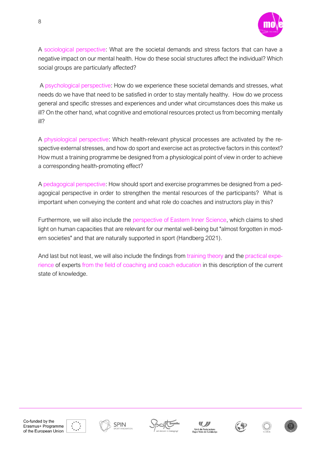

A sociological perspective: What are the societal demands and stress factors that can have a negative impact on our mental health. How do these social structures affect the individual? Which social groups are particularly affected?

A psychological perspective: How do we experience these societal demands and stresses, what needs do we have that need to be satisfied in order to stay mentally healthy. How do we process general and specific stresses and experiences and under what circumstances does this make us ill? On the other hand, what cognitive and emotional resources protect us from becoming mentally ill?

A physiological perspective: Which health-relevant physical processes are activated by the respective external stresses, and how do sport and exercise act as protective factors in this context? How must a training programme be designed from a physiological point of view in order to achieve a corresponding health-promoting effect?

A pedagogical perspective: How should sport and exercise programmes be designed from a pedagogical perspective in order to strengthen the mental resources of the participants? What is important when conveying the content and what role do coaches and instructors play in this?

Furthermore, we will also include the perspective of Eastern Inner Science, which claims to shed light on human capacities that are relevant for our mental well-being but "almost forgotten in modern societies" and that are naturally supported in sport (Handberg 2021).

And last but not least, we will also include the findings from training theory and the practical experience of experts from the field of coaching and coach education in this description of the current state of knowledge.











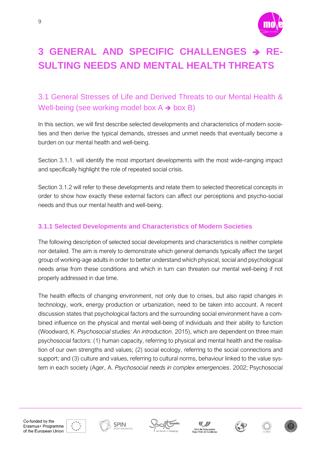

## <span id="page-8-0"></span>**3 GENERAL AND SPECIFIC CHALLENGES** ➔ **RE-SULTING NEEDS AND MENTAL HEALTH THREATS**

### <span id="page-8-1"></span>3.1 General Stresses of Life and Derived Threats to our Mental Health & Well-being (see working model box  $A \rightarrow box B$ )

In this section, we will first describe selected developments and characteristics of modern societies and then derive the typical demands, stresses and unmet needs that eventually become a burden on our mental health and well-being.

Section 3.1.1. will identify the most important developments with the most wide-ranging impact and specifically highlight the role of repeated social crisis.

Section 3.1.2 will refer to these developments and relate them to selected theoretical concepts in order to show how exactly these external factors can affect our perceptions and psycho-social needs and thus our mental health and well-being.

#### <span id="page-8-2"></span>**3.1.1 Selected Developments and Characteristics of Modern Societies**

The following description of selected social developments and characteristics is neither complete nor detailed. The aim is merely to demonstrate which general demands typically affect the target group of working-age adults in order to better understand which physical, social and psychological needs arise from these conditions and which in turn can threaten our mental well-being if not properly addressed in due time.

The health effects of changing environment, not only due to crises, but also rapid changes in technology, work, energy production or urbanization, need to be taken into account. A recent discussion states that psychological factors and the surrounding social environment have a combined influence on the physical and mental well-being of individuals and their ability to function (Woodward, K. *Psychosocial studies: An introduction*. 2015), which are dependent on three main psychosocial factors: (1) human capacity, referring to physical and mental health and the realisation of our own strengths and values; (2) social ecology, referring to the social connections and support; and (3) culture and values, referring to cultural norms, behaviour linked to the value system in each society (Ager, A. *Psychosocial needs in complex emergencies*. 2002; Psychosocial













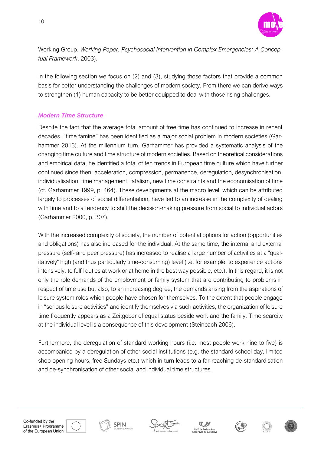

Working Group. *Working Paper. Psychosocial Intervention in Complex Emergencies: A Conceptual Framework*. 2003).

In the following section we focus on (2) and (3), studying those factors that provide a common basis for better understanding the challenges of modern society. From there we can derive ways to strengthen (1) human capacity to be better equipped to deal with those rising challenges.

#### *Modern Time Structure*

Despite the fact that the average total amount of free time has continued to increase in recent decades, "time famine" has been identified as a major social problem in modern societies (Garhammer 2013). At the millennium turn, Garhammer has provided a systematic analysis of the changing time culture and time structure of modern societies. Based on theoretical considerations and empirical data, he identified a total of ten trends in European time culture which have further continued since then: acceleration, compression, permanence, deregulation, desynchronisation, individualisation, time management, fatalism, new time constraints and the economisation of time (cf. Garhammer 1999, p. 464). These developments at the macro level, which can be attributed largely to processes of social differentiation, have led to an increase in the complexity of dealing with time and to a tendency to shift the decision-making pressure from social to individual actors (Garhammer 2000, p. 307).

With the increased complexity of society, the number of potential options for action (opportunities and obligations) has also increased for the individual. At the same time, the internal and external pressure (self- and peer pressure) has increased to realise a large number of activities at a "qualitatively" high (and thus particularly time-consuming) level (i.e. for example, to experience actions intensively, to fulfil duties at work or at home in the best way possible, etc.). In this regard, it is not only the role demands of the employment or family system that are contributing to problems in respect of time use but also, to an increasing degree, the demands arising from the aspirations of leisure system roles which people have chosen for themselves. To the extent that people engage in "serious leisure activities" and identify themselves via such activities, the organization of leisure time frequently appears as a Zeitgeber of equal status beside work and the family. Time scarcity at the individual level is a consequence of this development (Steinbach 2006).

Furthermore, the deregulation of standard working hours (i.e. most people work nine to five) is accompanied by a deregulation of other social institutions (e.g. the standard school day, limited shop opening hours, free Sundays etc.) which in turn leads to a far-reaching de-standardisation and de-synchronisation of other social and individual time structures.









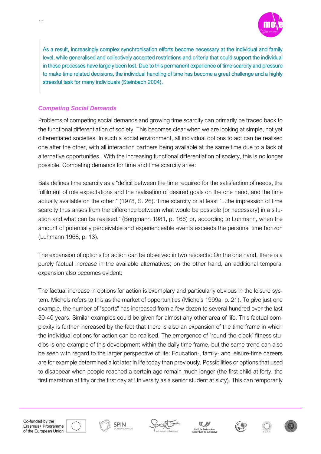

As a result, increasingly complex synchronisation efforts become necessary at the individual and family level, while generalised and collectively accepted restrictions and criteria that could support the individual in these processes have largely been lost. Due to this permanent experience of time scarcity and pressure to make time related decisions, the individual handling of time has become a great challenge and a highly stressful task for many individuals (Steinbach 2004).

#### *Competing Social Demands*

Problems of competing social demands and growing time scarcity can primarily be traced back to the functional differentiation of society. This becomes clear when we are looking at simple, not yet differentiated societies. In such a social environment, all individual options to act can be realised one after the other, with all interaction partners being available at the same time due to a lack of alternative opportunities. With the increasing functional differentiation of society, this is no longer possible. Competing demands for time and time scarcity arise:

Bala defines time scarcity as a "deficit between the time required for the satisfaction of needs, the fulfilment of role expectations and the realisation of desired goals on the one hand, and the time actually available on the other." (1978, S. 26). Time scarcity or at least "...the impression of time scarcity thus arises from the difference between what would be possible [or necessary] in a situation and what can be realised." (Bergmann 1981, p. 166) or, according to Luhmann, when the amount of potentially perceivable and experienceable events exceeds the personal time horizon (Luhmann 1968, p. 13).

The expansion of options for action can be observed in two respects: On the one hand, there is a purely factual increase in the available alternatives; on the other hand, an additional temporal expansion also becomes evident:

The factual increase in options for action is exemplary and particularly obvious in the leisure system. Michels refers to this as the market of opportunities (Michels 1999a, p. 21). To give just one example, the number of "sports" has increased from a few dozen to several hundred over the last 30-40 years. Similar examples could be given for almost any other area of life. This factual complexity is further increased by the fact that there is also an expansion of the time frame in which the individual options for action can be realised. The emergence of "round-the-clock" fitness studios is one example of this development within the daily time frame, but the same trend can also be seen with regard to the larger perspective of life: Education-, family- and leisure-time careers are for example determined a lot later in life today than previously. Possibilities or options that used to disappear when people reached a certain age remain much longer (the first child at forty, the first marathon at fifty or the first day at University as a senior student at sixty). This can temporarily









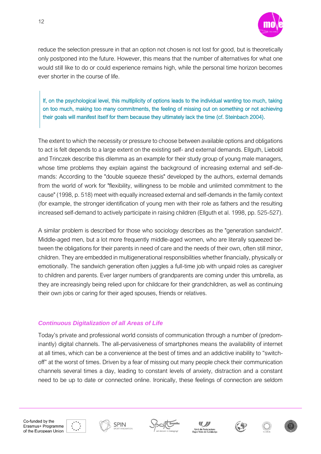

reduce the selection pressure in that an option not chosen is not lost for good, but is theoretically only postponed into the future. However, this means that the number of alternatives for what one would still like to do or could experience remains high, while the personal time horizon becomes ever shorter in the course of life.

If, on the psychological level, this multiplicity of options leads to the individual wanting too much, taking on too much, making too many commitments, the feeling of missing out on something or not achieving their goals will manifest itself for them because they ultimately lack the time (cf. Steinbach 2004).

The extent to which the necessity or pressure to choose between available options and obligations to act is felt depends to a large extent on the existing self- and external demands. Ellguth, Liebold and Trinczek describe this dilemma as an example for their study group of young male managers, whose time problems they explain against the background of increasing external and self-demands: According to the "double squeeze thesis" developed by the authors, external demands from the world of work for "flexibility, willingness to be mobile and unlimited commitment to the cause" (1998, p. 518) meet with equally increased external and self-demands in the family context (for example, the stronger identification of young men with their role as fathers and the resulting increased self-demand to actively participate in raising children (Ellguth et al. 1998, pp. 525-527).

A similar problem is described for those who sociology describes as the "generation sandwich". Middle-aged men, but a lot more frequently middle-aged women, who are literally squeezed between the obligations for their parents in need of care and the needs of their own, often still minor, children. They are embedded in multigenerational responsibilities whether financially, physically or emotionally. The sandwich generation often juggles a full-time job with unpaid roles as caregiver to children and parents. Ever larger numbers of grandparents are coming under this umbrella, as they are increasingly being relied upon for childcare for their grandchildren, as well as continuing their own jobs or caring for their aged spouses, friends or relatives.

#### *Continuous Digitalization of all Areas of Life*

Today's private and professional world consists of communication through a number of (predominantly) digital channels. The all-pervasiveness of smartphones means the availability of internet at all times, which can be a convenience at the best of times and an addictive inability to "switchoff" at the worst of times. Driven by a fear of missing out many people check their communication channels several times a day, leading to constant levels of anxiety, distraction and a constant need to be up to date or connected online. Ironically, these feelings of connection are seldom









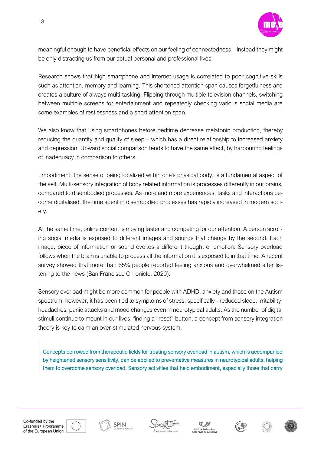

meaningful enough to have beneficial effects on our feeling of connectedness – instead they might be only distracting us from our actual personal and professional lives.

Research shows that high smartphone and internet usage is correlated to poor cognitive skills such as attention, memory and learning. This shortened attention span causes forgetfulness and creates a culture of always multi-tasking. Flipping through multiple television channels, switching between multiple screens for entertainment and repeatedly checking various social media are some examples of restlessness and a short attention span.

We also know that using smartphones before bedtime decrease melatonin production, thereby reducing the quantity and quality of sleep – which has a direct relationship to increased anxiety and depression. Upward social comparison tends to have the same effect, by harbouring feelings of inadequacy in comparison to others.

Embodiment, the sense of being localized within one's physical body, is a fundamental aspect of the self. Multi-sensory integration of body related information is processes differently in our brains, compared to disembodied processes. As more and more experiences, tasks and interactions become digitalised, the time spent in disembodied processes has rapidly increased in modern society.

At the same time, online content is moving faster and competing for our attention. A person scrolling social media is exposed to different images and sounds that change by the second. Each image, piece of information or sound evokes a different thought or emotion. Sensory overload follows when the brain is unable to process all the information it is exposed to in that time. A recent survey showed that more than 65% people reported feeling anxious and overwhelmed after listening to the news (San Francisco Chronicle, 2020).

Sensory overload might be more common for people with ADHD, anxiety and those on the Autism spectrum, however, it has been tied to symptoms of stress, specifically - reduced sleep, irritability, headaches, panic attacks and mood changes even in neurotypical adults. As the number of digital stimuli continue to mount in our lives, finding a "reset" button, a concept from sensory integration theory is key to calm an over-stimulated nervous system.

Concepts borrowed from therapeutic fields for treating sensory overload in autism, which is accompanied by heightened sensory sensitivity, can be applied to preventative measures in neurotypical adults, helping them to overcome sensory overload. Sensory activities that help embodiment, especially those that carry











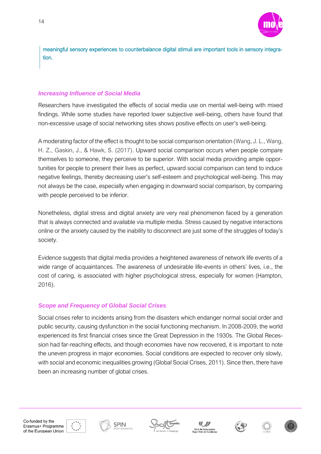

meaningful sensory experiences to counterbalance digital stimuli are important tools in sensory integration.

#### *Increasing Influence of Social Media*

Researchers have investigated the effects of social media use on mental well-being with mixed findings. While some studies have reported lower subjective well-being, others have found that non-excessive usage of social networking sites shows positive effects on user's well-being.

A moderating factor of the effect is thought to be social comparison orientation (Wang, J. L., Wang, H. Z., Gaskin, J., & Hawk, S. (2017). Upward social comparison occurs when people compare themselves to someone, they perceive to be superior. With social media providing ample opportunities for people to present their lives as perfect, upward social comparison can tend to induce negative feelings, thereby decreasing user's self-esteem and psychological well-being. This may not always be the case, especially when engaging in downward social comparison, by comparing with people perceived to be inferior.

Nonetheless, digital stress and digital anxiety are very real phenomenon faced by a generation that is always connected and available via multiple media. Stress caused by negative interactions online or the anxiety caused by the inability to disconnect are just some of the struggles of today's society.

Evidence suggests that digital media provides a heightened awareness of network life events of a wide range of acquaintances. The awareness of undesirable life-events in others' lives, i.e., the cost of caring, is associated with higher psychological stress, especially for women (Hampton, 2016).

#### *Scope and Frequency of Global Social Crises*

Social crises refer to incidents arising from the disasters which endanger normal social order and public security, causing dysfunction in the social functioning mechanism. In 2008-2009, the world experienced its first financial crises since the Great Depression in the 1930s. The Global Recession had far-reaching effects, and though economies have now recovered, it is important to note the uneven progress in major economies. Social conditions are expected to recover only slowly, with social and economic inequalities growing (Global Social Crises, 2011). Since then, there have been an increasing number of global crises.











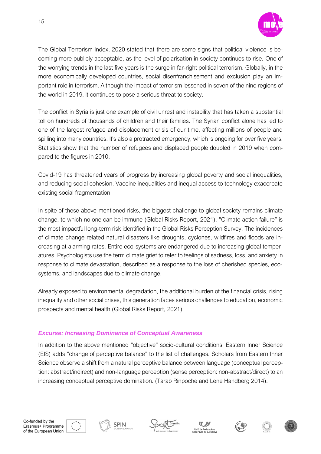

The Global Terrorism Index, 2020 stated that there are some signs that political violence is becoming more publicly acceptable, as the level of polarisation in society continues to rise. One of the worrying trends in the last five years is the surge in far-right political terrorism. Globally, in the more economically developed countries, social disenfranchisement and exclusion play an important role in terrorism. Although the impact of terrorism lessened in seven of the nine regions of the world in 2019, it continues to pose a serious threat to society.

The conflict in Syria is just one example of civil unrest and instability that has taken a substantial toll on hundreds of thousands of children and their families. The Syrian conflict alone has led to one of the largest refugee and displacement crisis of our time, affecting millions of people and spilling into many countries. It's also a protracted emergency, which is ongoing for over five years. Statistics show that the number of refugees and displaced people [doubled in 2019 when com](https://www.unhcr.org/refugee-statistics/download/?url=Pow2E1)[pared to the figures in 2010.](https://www.unhcr.org/refugee-statistics/download/?url=Pow2E1)

Covid-19 has threatened years of progress by increasing global poverty and social inequalities, and reducing social cohesion. Vaccine inequalities and inequal access to technology exacerbate existing social fragmentation.

In spite of these above-mentioned risks, the biggest challenge to global society remains climate change, to which no one can be immune (Global Risks Report, 2021). "Climate action failure" is the most impactful long-term risk identified in the Global Risks Perception Survey. The incidences of climate change related natural disasters like droughts, cyclones, wildfires and floods are increasing at alarming rates. Entire eco-systems are endangered due to increasing global temperatures. Psychologists use the term climate grief to refer to feelings of sadness, [loss, and anxiety](https://www.psycom.net/anxiety-complicated-grief/) in response to climate devastation, described as a response to the loss of cherished species, ecosystems, and landscapes due to climate change.

Already exposed to environmental degradation, the additional burden of the financial crisis, rising inequality and other social crises, this generation faces serious challenges to education, economic prospects and mental health (Global Risks Report, 2021).

#### *Excurse: Increasing Dominance of Conceptual Awareness*

In addition to the above mentioned "objective" socio-cultural conditions, Eastern Inner Science (EIS) adds "change of perceptive balance" to the list of challenges. Scholars from Eastern Inner Science observe a shift from a natural perceptive balance between language (conceptual perception: abstract/indirect) and non-language perception (sense perception: non-abstract/direct) to an increasing conceptual perceptive domination. (Tarab Rinpoche and Lene Handberg 2014).









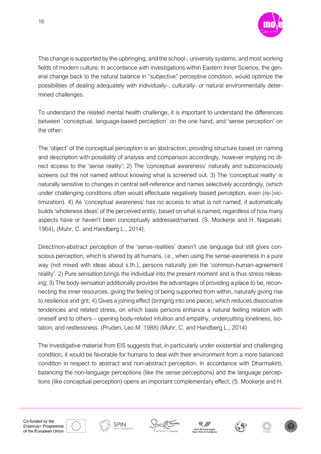

This change is supported by the upbringing, and the school-, university systems, and most working fields of modern culture. In accordance with investigations within Eastern Inner Science, the general change back to the natural balance in "subjective" perceptive condition, would optimize the possibilities of dealing adequately with individually-, culturally- or natural environmentally determined challenges.

To understand the related mental health challenge, it is important to understand the differences between `conceptual, language-based perception´ on the one hand, and 'sense perception' on the other:

The 'object' of the conceptual perception is an abstraction, providing structure based on naming and description with possibility of analysis and comparison accordingly, however implying no direct access to the 'sense reality'; 2) The 'conceptual awareness' naturally and subconsciously screens out the not named without knowing what is screened out. 3) The 'conceptual reality' is naturally sensitive to changes in central self-reference and names selectively accordingly, (which under challenging conditions often would effectuate negatively biased perception, even (re-)victimization). 4) As 'conceptual awareness' has no access to what is not named, it automatically builds 'wholeness ideas' of the perceived entity, based on what is named, regardless of how many aspects have or haven't been conceptually addressed/named. (S. Mookerje and H. Nagasaki, 1964), (Muhr, C. and Handberg L., 2014).

Direct/non-abstract perception of the 'sense-realities' doesn't use language but still gives conscious perception, which is shared by all humans. i.e., when using the sense-awareness in a pure way (not mixed with ideas about s.th.), persons naturally join the 'common-human-agreement reality'. 2) Pure sensation brings the individual into the present moment and is thus stress releasing; 3) The body-sensation additionally provides the advantages of providing a place to be, reconnecting the inner resources, giving the feeling of being supported from within, naturally giving rise to resilience and grit; 4) Gives a joining effect (bringing into one piece), which reduces dissociative tendencies and related stress, on which basis persons enhance a natural feeling relation with oneself and to others – opening body-related intuition and empathy, undercutting loneliness, isolation, and restlessness. (Pruden, Leo M. 1988) (Muhr, C. and Handberg L., 2014)

The investigative material from EIS suggests that, in particularly under existential and challenging condition, it would be favorable for humans to deal with their environment from a more balanced condition in respect to abstract and non-abstract perception. In accordance with Dharmakirti, balancing the non-language perceptions (like the sense perceptions) and the language perceptions (like conceptual perception) opens an important complementary effect, (S. Mookerje and H.











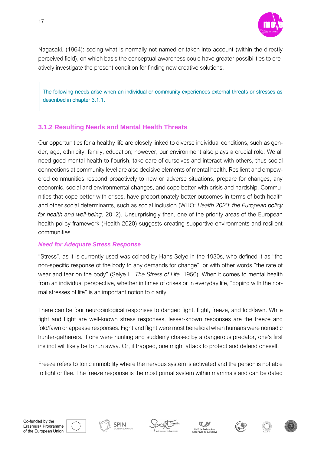

Nagasaki, (1964): seeing what is normally not named or taken into account (within the directly perceived field), on which basis the conceptual awareness could have greater possibilities to creatively investigate the present condition for finding new creative solutions.

The following needs arise when an individual or community experiences external threats or stresses as described in chapter 3.1.1.

#### <span id="page-16-0"></span>**3.1.2 Resulting Needs and Mental Health Threats**

Our opportunities for a healthy life are closely linked to diverse individual conditions, such as gender, age, ethnicity, family, education; however, our environment also plays a crucial role. We all need good mental health to flourish, take care of ourselves and interact with others, thus social connections at community level are also decisive elements of mental health. Resilient and empowered communities respond proactively to new or adverse situations, prepare for changes, any economic, social and environmental changes, and cope better with crisis and hardship. Communities that cope better with crises, have proportionately better outcomes in terms of both health and other social determinants, such as social inclusion (WHO: *Health 2020: the European policy for health and well-being*, 2012). Unsurprisingly then, one of the priority areas of the European health policy framework (Health 2020) suggests creating supportive environments and resilient communities.

#### *Need for Adequate Stress Response*

"Stress", as it is currently used was coined by Hans Selye in the 1930s, who defined it as "the non-specific response of the body to any demands for change", or with other words "the rate of wear and tear on the body" (Selye H. *The Stress of Life*. 1956). When it comes to mental health from an individual perspective, whether in times of crises or in everyday life, "coping with the normal stresses of life" is an important notion to clarify.

There can be four neurobiological responses to danger: fight, flight, freeze, and fold/fawn. While fight and flight are well-known stress responses, lesser-known responses are the freeze and fold/fawn or appease responses. Fight and flight were most beneficial when humans were nomadic hunter-gatherers. If one were hunting and suddenly chased by a dangerous predator, one's first instinct will likely be to run away. Or, if trapped, one might attack to protect and defend oneself.

Freeze refers to tonic immobility where the nervous system is activated and the person is not able to fight or flee. The freeze response is the most primal system within mammals and can be dated









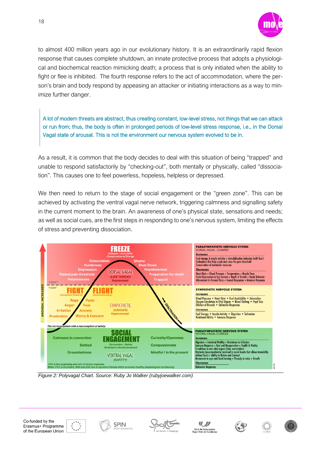

to almost 400 million years ago in our evolutionary history. It is an extraordinarily rapid flexion response that causes complete shutdown, an innate protective process that adopts a physiological and biochemical reaction mimicking death; a process that is only initiated when the ability to fight or flee is inhibited. The fourth response refers to the act of accommodation, where the person's brain and body respond by appeasing an attacker or initiating interactions as a way to minimize further danger.

A lot of modern threats are abstract, thus creating constant, low-level stress, not things that we can attack or run from; thus, the body is often in prolonged periods of low-level stress response, i.e., in the Dorsal Vagal state of arousal. This is not the environment our nervous system evolved to be in.

As a result, it is common that the body decides to deal with this situation of being "trapped" and unable to respond satisfactorily by "checking-out", both mentally or physically, called "dissociation". This causes one to feel powerless, hopeless, helpless or depressed.

We then need to return to the stage of social engagement or the "green zone". This can be achieved by activating the ventral vagal nerve network, triggering calmness and signalling safety in the current moment to the brain. An awareness of one's physical state, sensations and needs; as well as social cues, are the first steps in responding to one's nervous system, limiting the effects of stress and preventing dissociation.



*Figure 2: Polyvagal Chart. Source: Ruby Jo Walker (rubyjoewalker.com)*









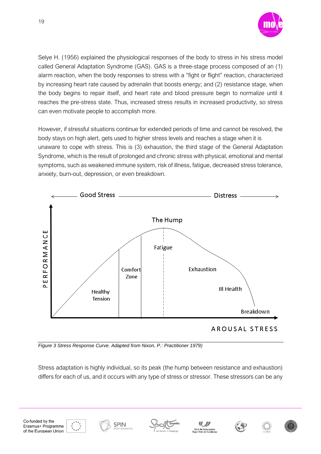

Selye H. (1956) explained the physiological responses of the body to stress in his stress model called General Adaptation Syndrome (GAS). GAS is a three-stage process composed of an (1) alarm reaction, when the body responses to stress with a "fight or flight" reaction, characterized by increasing heart rate caused by adrenalin that boosts energy; and (2) resistance stage, when the body begins to repair itself, and heart rate and blood pressure begin to normalize until it reaches the pre-stress state. Thus, increased stress results in increased productivity, so stress can even motivate people to accomplish more.

However, if stressful situations continue for extended periods of time and cannot be resolved, the body stays on high alert, gets used to higher stress levels and reaches a stage when it is unaware to cope with stress. This is (3) exhaustion, the third stage of the General Adaptation Syndrome, which is the result of prolonged and chronic stress with physical, emotional and mental symptoms, such as weakened immune system, risk of illness, fatigue, decreased stress tolerance, anxiety, burn-out, depression, or even breakdown.



*Figure 3 Stress Response Curve. Adapted from Nixon, P.: Practitioner 1979)*

**SPIN** 

Stress adaptation is highly individual, so its peak (the hump between resistance and exhaustion) differs for each of us, and it occurs with any type of stress or stressor. These stressors can be any









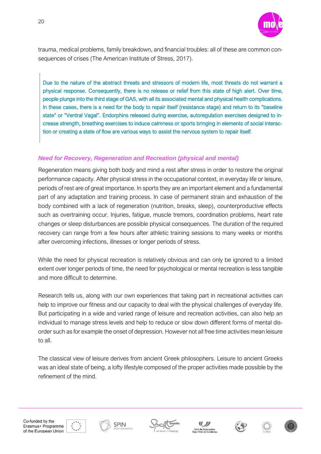

trauma, medical problems, family breakdown, and financial troubles: all of these are common consequences of crises (The American Institute of Stress, 2017).

Due to the nature of the abstract threats and stressors of modern life, most threats do not warrant a physical response. Consequently, there is no release or relief from this state of high alert. Over time, people plunge into the third stage of GAS, with all its associated mental and physical health complications. In these cases, there is a need for the body to repair itself (resistance stage) and return to its "baseline state" or "Ventral Vagal". Endorphins released during exercise, autoregulation exercises designed to increase strength, breathing exercises to induce calmness or sports bringing in elements of social interaction or creating a state of flow are various ways to assist the nervous system to repair itself.

#### *Need for Recovery, Regeneration and Recreation (physical and mental)*

Regeneration means giving both body and mind a rest after stress in order to restore the original performance capacity. After physical stress in the occupational context, in everyday life or leisure, periods of rest are of great importance. In sports they are an important element and a fundamental part of any adaptation and training process. In case of permanent strain and exhaustion of the body combined with a lack of regeneration (nutrition, breaks, sleep), counterproductive effects such as overtraining occur. Injuries, fatigue, muscle tremors, coordination problems, heart rate changes or sleep disturbances are possible physical consequences. The duration of the required recovery can range from a few hours after athletic training sessions to many weeks or months after overcoming infections, illnesses or longer periods of stress.

While the need for physical recreation is relatively obvious and can only be ignored to a limited extent over longer periods of time, the need for psychological or mental recreation is less tangible and more difficult to determine.

Research tells us, along with our own experiences that taking part in recreational activities can help to improve our fitness and our capacity to deal with the physical challenges of everyday life. But participating in a wide and varied range of leisure and recreation activities, can also help an individual to manage stress levels and help to reduce or slow down different forms of mental disorder such as for example the onset of depression. However not all free time activities mean leisure to all.

The classical view of leisure derives from ancient Greek philosophers. Leisure to ancient Greeks was an ideal state of being, a lofty lifestyle composed of the proper activities made possible by the refinement of the mind.









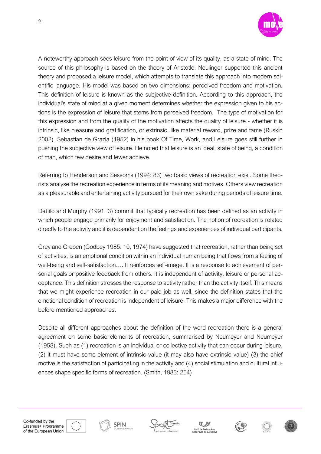

A noteworthy approach sees leisure from the point of view of its quality, as a state of mind. The source of this philosophy is based on the theory of Aristotle. Neulinger supported this ancient theory and proposed a leisure model, which attempts to translate this approach into modern scientific language. His model was based on two dimensions: perceived freedom and motivation. This definition of leisure is known as the subjective definition. According to this approach, the individual's state of mind at a given moment determines whether the expression given to his actions is the expression of leisure that stems from perceived freedom. The type of motivation for this expression and from the quality of the motivation affects the quality of leisure - whether it is intrinsic, like pleasure and gratification, or extrinsic, like material reward, prize and fame (Ruskin 2002). Sebastian de Grazia (1952) in his book Of Time, Work, and Leisure goes still further in pushing the subjective view of leisure. He noted that leisure is an ideal, state of being, a condition of man, which few desire and fewer achieve.

Referring to Henderson and Sessoms (1994: 83) two basic views of recreation exist. Some theorists analyse the recreation experience in terms of its meaning and motives. Others view recreation as a pleasurable and entertaining activity pursued for their own sake during periods of leisure time.

Dattilo and Murphy (1991: 3) commit that typically recreation has been defined as an activity in which people engage primarily for enjoyment and satisfaction. The notion of recreation is related directly to the activity and it is dependent on the feelings and experiences of individual participants.

Grey and Greben (Godbey 1985: 10, 1974) have suggested that recreation, rather than being set of activities, is an emotional condition within an individual human being that flows from a feeling of well-being and self-satisfaction…. It reinforces self-image. It is a response to achievement of personal goals or positive feedback from others. It is independent of activity, leisure or personal acceptance. This definition stresses the response to activity rather than the activity itself. This means that we might experience recreation in our paid job as well, since the definition states that the emotional condition of recreation is independent of leisure. This makes a major difference with the before mentioned approaches.

Despite all different approaches about the definition of the word recreation there is a general agreement on some basic elements of recreation, summarised by Neumeyer and Neumeyer (1958). Such as (1) recreation is an individual or collective activity that can occur during leisure, (2) it must have some element of intrinsic value (it may also have extrinsic value) (3) the chief motive is the satisfaction of participating in the activity and (4) social stimulation and cultural influences shape specific forms of recreation. (Smith, 1983: 254)











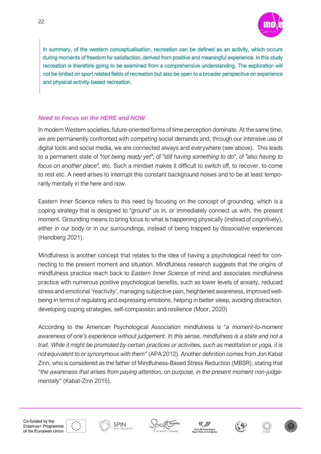

In summary, of the western conceptualisation, recreation can be defined as an activity, which occurs during moments of freedom for satisfaction, derived from positive and meaningful experience. In this study recreation is therefore going to be examined from a comprehensive understanding. The exploration will not be limited on sport related fields of recreation but also be open to a broader perspective on experience and physical activity-based recreation.

#### *Need to Focus on the HERE and NOW*

In modern Western societies, future-oriented forms of time perception dominate. At the same time, we are permanently confronted with competing social demands and, through our intensive use of digital tools and social media, we are connected always and everywhere (see above). This leads to a permanent state of *"not being ready yet"*, of *"still having something to do"*, of *"also having to focus on another place",* etc. Such a mindset makes it difficult to switch off, to recover, to come to rest etc. A need arises to interrupt this constant background noises and to be at least temporarily mentally in the here and now.

Eastern Inner Science refers to this need by focusing on the concept of grounding, which is a coping strategy that is designed to "ground" us in, or immediately connect us with, the present moment. Grounding means to bring focus to what is happening physically (instead of cognitively), either in our body or in our surroundings, instead of being trapped by dissociative experiences (Handberg 2021).

Mindfulness is another concept that relates to the idea of having a psychological need for connecting to the present moment and situation. Mindfulness research suggests that the origins of mindfulness practice reach back to *Eastern Inner Science* of mind and associates mindfulness practice with numerous positive psychological benefits, such as lower levels of anxiety, reduced stress and emotional 'reactivity', managing subjective pain, heightened awareness, improved wellbeing in terms of regulating and expressing emotions, helping in better sleep, avoiding distraction, developing coping strategies, self-compassion and resilience (Moor, 2020)

According to the American Psychological Association mindfulness is "*a moment-to-moment awareness of one's experience without judgement. In this sense, mindfulness is a state and not a trait. While it might be promoted by certain practices or activities, such as meditation or yoga, it is not equivalent to or synonymous with them*" (APA 2012). Another definition comes from Jon Kabat Zinn, who is considered as the father of Mindfulness-Based Stress Reduction (MBSR), stating that "*the awareness that arises from paying attention, on purpose, in the present moment non-judgementally*" (Kabat-Zinn 2015).









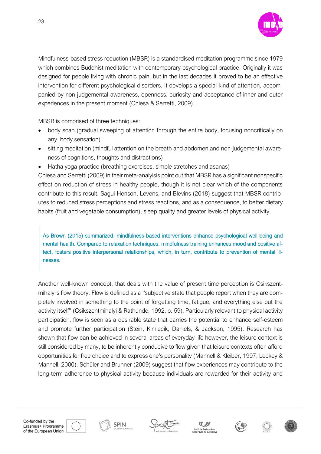

Mindfulness-based stress reduction (MBSR) is a standardised meditation programme since 1979 which combines Buddhist meditation with contemporary psychological practice. Originally it was designed for people living with chronic pain, but in the last decades it proved to be an effective intervention for different psychological disorders. It develops a special kind of attention, accompanied by non-judgemental awareness, openness, curiosity and acceptance of inner and outer experiences in the present moment (Chiesa & Serretti, 2009).

MBSR is comprised of three techniques:

23

- body scan (gradual sweeping of attention through the entire body, focusing noncritically on any body sensation)
- sitting meditation (mindful attention on the breath and abdomen and non-judgemental awareness of cognitions, thoughts and distractions)
- Hatha yoga practice (breathing exercises, simple stretches and asanas)

Chiesa and Serretti (2009) in their meta-analyisis point out that MBSR has a significant nonspecific effect on reduction of stress in healthy people, though it is not clear which of the components contribute to this result. Sagui-Henson, Levens, and Blevins (2018) suggest that MBSR contributes to reduced stress perceptions and stress reactions, and as a consequence, to better dietary habits (fruit and vegetable consumption), sleep quality and greater levels of physical activity.

As Brown (2015) summarized, mindfulness-based interventions enhance psychological well-being and mental health. Compared to relaxation techniques, mindfulness training enhances mood and positive affect, fosters positive interpersonal relationships, which, in turn, contribute to prevention of mental illnesses.

Another well-known concept, that deals with the value of present time perception is Csikszentmihalyi's flow theory: Flow is defined as a ''subjective state that people report when they are completely involved in something to the point of forgetting time, fatigue, and everything else but the activity itself'' (Csikszentmihalyi & Rathunde, 1992, p. 59). Particularly relevant to physical activity participation, flow is seen as a desirable state that carries the potential to enhance self-esteem and promote further participation (Stein, Kimiecik, Daniels, & Jackson, 1995). Research has shown that flow can be achieved in several areas of everyday life however, the leisure context is still considered by many, to be inherently conducive to flow given that leisure contexts often afford opportunities for free choice and to express one's personality (Mannell & Kleiber, 1997; Leckey & Mannell, 2000). Schüler and Brunner (2009) suggest that flow experiences may contribute to the long-term adherence to physical activity because individuals are rewarded for their activity and









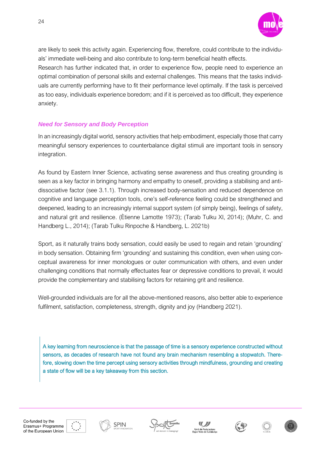

are likely to seek this activity again. Experiencing flow, therefore, could contribute to the individuals' immediate well-being and also contribute to long-term beneficial health effects.

Research has further indicated that, in order to experience flow, people need to experience an optimal combination of personal skills and external challenges. This means that the tasks individuals are currently performing have to fit their performance level optimally. If the task is perceived as too easy, individuals experience boredom; and if it is perceived as too difficult, they experience anxiety.

#### *Need for Sensory and Body Perception*

In an increasingly digital world, sensory activities that help embodiment, especially those that carry meaningful sensory experiences to counterbalance digital stimuli are important tools in sensory integration.

As found by Eastern Inner Science, activating sense awareness and thus creating grounding is seen as a key factor in bringing harmony and empathy to oneself, providing a stabilising and antidissociative factor (see 3.1.1). Through increased body-sensation and reduced dependence on cognitive and language perception tools, one's self-reference feeling could be strengthened and deepened, leading to an increasingly internal support system (of simply being), feelings of safety, and natural grit and resilience. (Ètienne Lamotte 1973); (Tarab Tulku XI, 2014); (Muhr, C. and Handberg L., 2014); (Tarab Tulku Rinpoche & Handberg, L. 2021b)

Sport, as it naturally trains body sensation, could easily be used to regain and retain 'grounding' in body sensation. Obtaining firm 'grounding' and sustaining this condition, even when using conceptual awareness for inner monologues or outer communication with others, and even under challenging conditions that normally effectuates fear or depressive conditions to prevail, it would provide the complementary and stabilising factors for retaining grit and resilience.

Well-grounded individuals are for all the above-mentioned reasons, also better able to experience fulfilment, satisfaction, completeness, strength, dignity and joy (Handberg 2021).

A key learning from neuroscience is that the passage of time is a sensory experience constructed without sensors, as decades of research have not found any brain mechanism resembling a stopwatch. Therefore, slowing down the time percept using sensory activities through mindfulness, grounding and creating a state of flow will be a key takeaway from this section.



**SPIN** 







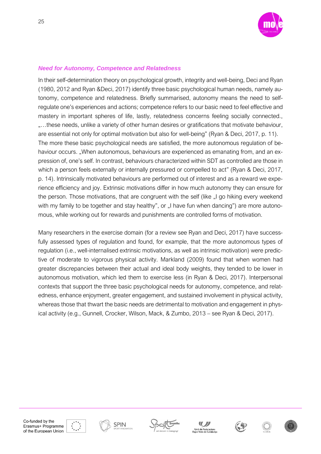

#### *Need for Autonomy, Competence and Relatedness*

In their self-determination theory on psychological growth, integrity and well-being, Deci and Ryan (1980, 2012 and Ryan &Deci, 2017) identify three basic psychological human needs, namely autonomy, competence and relatedness. Briefly summarised, autonomy means the need to selfregulate one's experiences and actions; competence refers to our basic need to feel effective and mastery in important spheres of life, lastly, relatedness concerns feeling socially connected., "...these needs, unlike a variety of other human desires or gratifications that motivate behaviour, are essential not only for optimal motivation but also for well-being" (Ryan & Deci, 2017, p. 11). The more these basic psychological needs are satisfied, the more autonomous regulation of behaviour occurs. ..When autonomous, behaviours are experienced as emanating from, and an expression of, one's self. In contrast, behaviours characterized within SDT as controlled are those in which a person feels externally or internally pressured or compelled to act" (Ryan & Deci, 2017, p. 14). Intrinsically motivated behaviours are performed out of interest and as a reward we experience efficiency and joy. Extrinsic motivations differ in how much autonomy they can ensure for the person. Those motivations, that are congruent with the self (like "I go hiking every weekend with my family to be together and stay healthy", or "I have fun when dancing") are more autonomous, while working out for rewards and punishments are controlled forms of motivation.

Many researchers in the exercise domain (for a review see Ryan and Deci, 2017) have successfully assessed types of regulation and found, for example, that the more autonomous types of regulation (i.e., well-internalised extrinsic motivations, as well as intrinsic motivation) were predictive of moderate to vigorous physical activity. Markland (2009) found that when women had greater discrepancies between their actual and ideal body weights, they tended to be lower in autonomous motivation, which led them to exercise less (in Ryan & Deci, 2017). Interpersonal contexts that support the three basic psychological needs for autonomy, competence, and relatedness, enhance enjoyment, greater engagement, and sustained involvement in physical activity, whereas those that thwart the basic needs are detrimental to motivation and engagement in physical activity (e.g., Gunnell, Crocker, Wilson, Mack, & Zumbo, 2013 – see Ryan & Deci, 2017).













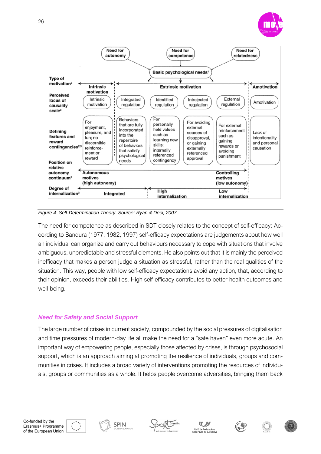

*Figure 4: Self-Determination Theory. Source: Ryan & Deci, 2007.*

The need for competence as described in SDT closely relates to the concept of self-efficacy: According to Bandura (1977, 1982, 1997) self-efficacy expectations are judgements about how well an individual can organize and carry out behaviours necessary to cope with situations that involve ambiguous, unpredictable and stressful elements. He also points out that it is mainly the perceived inefficacy that makes a person judge a situation as stressful, rather than the real qualities of the situation. This way, people with low self-efficacy expectations avoid any action, that, according to their opinion, exceeds their abilities. High self-efficacy contributes to better health outcomes and well-being.

#### *Need for Safety and Social Support*

The large number of crises in current society, compounded by the social pressures of digitalisation and time pressures of modern-day life all make the need for a "safe haven" even more acute. An important way of empowering people, especially those affected by crises, is through psychosocial support, which is an approach aiming at promoting the resilience of individuals, groups and communities in crises. It includes a broad variety of interventions promoting the resources of individuals, groups or communities as a whole. It helps people overcome adversities, bringing them back

26









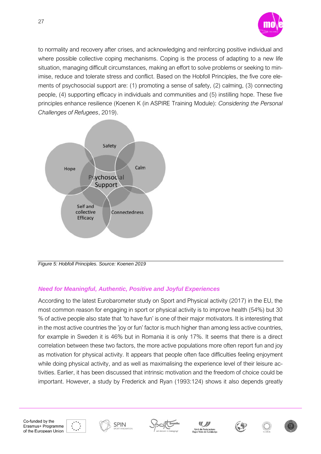

to normality and recovery after crises, and acknowledging and reinforcing positive individual and where possible collective coping mechanisms. Coping is the process of adapting to a new life situation, managing difficult circumstances, making an effort to solve problems or seeking to minimise, reduce and tolerate stress and conflict. Based on the Hobfoll Principles, the five core elements of psychosocial support are: (1) promoting a sense of safety, (2) calming, (3) connecting people, (4) supporting efficacy in individuals and communities and (5) instilling hope. These five principles enhance resilience (Koenen K (in ASPIRE Training Module): *Considering the Personal Challenges of Refugees*, 2019).



*Figure 5: Hobfoll Principles. Source: Koenen 2019*

#### *Need for Meaningful, Authentic, Positive and Joyful Experiences*

According to the latest Eurobarometer study on Sport and Physical activity (2017) in the EU, the most common reason for engaging in sport or physical activity is to improve health (54%) but 30 % of active people also state that 'to have fun' is one of their major motivators. It is interesting that in the most active countries the 'joy or fun' factor is much higher than among less active countries, for example in Sweden it is 46% but in Romania it is only 17%. It seems that there is a direct correlation between these two factors, the more active populations more often report fun and joy as motivation for physical activity. It appears that people often face difficulties feeling enjoyment while doing physical activity, and as well as maximalising the experience level of their leisure activities. Earlier, it has been discussed that intrinsic motivation and the freedom of choice could be important. However, a study by Frederick and Ryan (1993:124) shows it also depends greatly









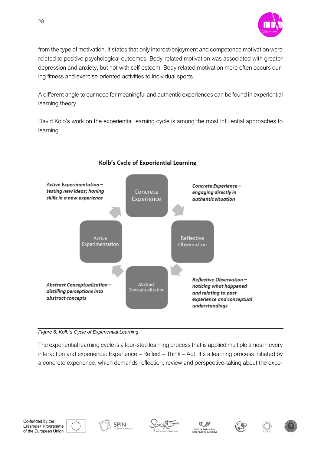

from the type of motivation. It states that only interest/enjoyment and competence motivation were related to positive psychological outcomes. Body-related motivation was associated with greater depression and anxiety, but not with self-esteem. Body related motivation more often occurs during fitness and exercise-oriented activities to individual sports.

A different angle to our need for meaningful and authentic experiences can be found in experiential learning theory

David Kolb's work on the experiential learning cycle is among the most influential approaches to learning.



#### Kolb's Cycle of Experiential Learning

#### *Figure 6: Kolb´s Cycle of Experiential Learning*

The experiential learning cycle is a four-step learning process that is applied multiple times in every interaction and experience: Experience – Reflect – Think – Act. It's a learning process initiated by a concrete experience, which demands reflection, review and perspective-taking about the expe-

28











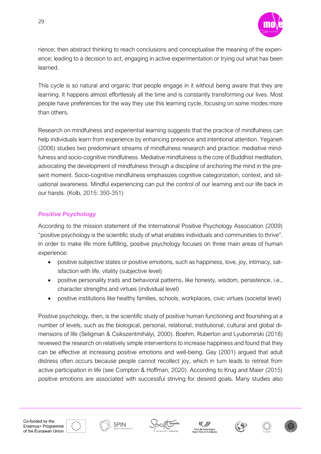

rience; then abstract thinking to reach conclusions and conceptualise the meaning of the experience; leading to a decision to act, engaging in active experimentation or trying out what has been learned.

This cycle is so natural and organic that people engage in it without being aware that they are learning. It happens almost effortlessly all the time and is constantly transforming our lives. Most people have preferences for the way they use this learning cycle, focusing on some modes more than others.

Research on mindfulness and experiential learning suggests that the practice of mindfulness can help individuals learn from experience by enhancing presence and intentional attention. Yeganeh (2006) studies two predominant streams of mindfulness research and practice: mediative mindfulness and socio-cognitive mindfulness. Mediative mindfulness is the core of Buddhist meditation, advocating the development of mindfulness through a discipline of anchoring the mind in the present moment. Socio-cognitive mindfulness emphasizes cognitive categorization, context, and situational awareness. Mindful experiencing can put the control of our learning and our life back in our hands. (Kolb, 2015: 350-351)

#### *Positive Psychology*

According to the mission statement of the International Positive Psychology Association (2009) "positive psychology is the scientific study of what enables individuals and communities to thrive". In order to make life more fulfilling, positive psychology focuses on three main areas of human experience:

- positive subjective states or positive emotions, such as happiness, love, joy, intimacy, satisfaction with life, vitality (subjective level)
- positive personality traits and behavioral patterns, like honesty, wisdom, persistence, i.e., character strengths and virtues (individual level)
- positive institutions like healthy families, schools, workplaces, civic virtues (societal level)

Positive psychology, then, is the scientific study of positive human functioning and flourishing at a number of levels, such as the biological, personal, relational, institutional, cultural and global dimensions of life (Seligman & Csikszentmihályi, 2000). Boehm, Ruberton and Lyubomirski (2018) reviewed the research on relatively simple interventions to increase happiness and found that they can be effective at increasing positive emotions and well-being. Gay (2001) argued that adult distress often occurs because people cannot recollect joy, which in turn leads to retreat from active participation in life (see Compton & Hoffman, 2020). According to Krug and Maier (2015) positive emotions are associated with successful striving for desired goals. Many studies also









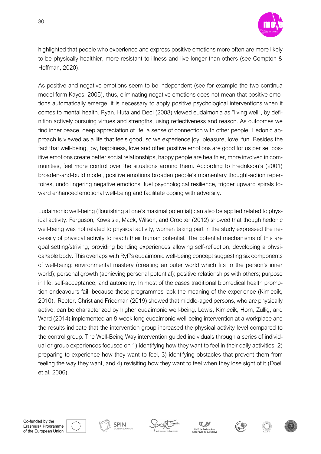

highlighted that people who experience and express positive emotions more often are more likely to be physically healthier, more resistant to illness and live longer than others (see Compton & Hoffman, 2020).

As positive and negative emotions seem to be independent (see for example the two continua model form Kayes, 2005), thus, eliminating negative emotions does not mean that positive emotions automatically emerge, it is necessary to apply positive psychological interventions when it comes to mental health. Ryan, Huta and Deci (2008) viewed eudaimonia as "living well", by definition actively pursuing virtues and strengths, using reflectiveness and reason. As outcomes we find inner peace, deep appreciation of life, a sense of connection with other people. Hedonic approach is viewed as a life that feels good, so we experience joy, pleasure, love, fun. Besides the fact that well-being, joy, happiness, love and other positive emotions are good for us per se, positive emotions create better social relationships, happy people are healthier, more involved in communities, feel more control over the situations around them. According to Fredrikson's (2001) broaden-and-build model, positive emotions broaden people's momentary thought-action repertoires, undo lingering negative emotions, fuel psychological resilience, trigger upward spirals toward enhanced emotional well-being and facilitate coping with adversity.

Eudaimonic well-being (flourishing at one's maximal potential) can also be applied related to physical activity. Ferguson, Kowalski, Mack, Wilson, and Crocker (2012) showed that though hedonic well-being was not related to physical activity, women taking part in the study expressed the necessity of physical activity to reach their human potential. The potential mechanisms of this are goal setting/striving, providing bonding experiences allowing self-reflection, developing a physical/able body. This overlaps with Ryff's eudaimonic well-being concept suggesting six components of well-being: environmental mastery (creating an outer world which fits to the person's inner world); personal growth (achieving personal potential); positive relationships with others; purpose in life; self-acceptance, and autonomy. In most of the cases traditional biomedical health promotion endeavours fail, because these programmes lack the meaning of the experience (Kimiecik, 2010). Rector, Christ and Friedman (2019) showed that middle-aged persons, who are physically active, can be characterized by higher eudaimonic well-being. Lewis, Kimiecik, Horn, Zullig, and Ward (2014) implemented an 8-week long eudaimonic well-being intervention at a workplace and the results indicate that the intervention group increased the physical activity level compared to the control group. The Well-Being Way intervention guided individuals through a series of individual or group experiences focused on 1) identifying how they want to feel in their daily activities, 2) preparing to experience how they want to feel, 3) identifying obstacles that prevent them from feeling the way they want, and 4) revisiting how they want to feel when they lose sight of it (Doell et al. 2006).









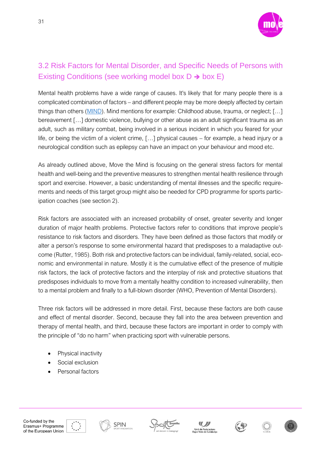

## <span id="page-30-0"></span>3.2 Risk Factors for Mental Disorder, and Specific Needs of Persons with Existing Conditions (see working model box  $D \rightarrow box E$ )

Mental health problems have a wide range of causes. It's likely that for many people there is a complicated combination of factors – and different people may be more deeply affected by certain things than others [\(MIND](https://www.mind.org.uk/information-support/types-of-mental-health-problems/mental-health-problems-introduction/causes/)). Mind mentions for example: Childhood abuse, trauma, or neglect; […] [bereavement](https://www.mind.org.uk/information-support/guides-to-support-and-services/bereavement/) […] domestic violence, bullying or other [abuse](https://www.mind.org.uk/information-support/guides-to-support-and-services/abuse/) as an adult significant trauma as an adult, such as military combat, being involved in a serious incident in which you feared for your life, or being the victim of a violent crime, […] physical causes – for example, a head injury or a neurological condition such as epilepsy can have an impact on your behaviour and mood etc.

As already outlined above, Move the Mind is focusing on the general stress factors for mental health and well-being and the preventive measures to strengthen mental health resilience through sport and exercise. However, a basic understanding of mental illnesses and the specific requirements and needs of this target group might also be needed for CPD programme for sports participation coaches (see section 2).

Risk factors are associated with an increased probability of onset, greater severity and longer duration of major health problems. Protective factors refer to conditions that improve people's resistance to risk factors and disorders. They have been defined as those factors that modify or alter a person's response to some environmental hazard that predisposes to a maladaptive outcome (Rutter, 1985). Both risk and protective factors can be individual, family-related, social, economic and environmental in nature. Mostly it is the cumulative effect of the presence of multiple risk factors, the lack of protective factors and the interplay of risk and protective situations that predisposes individuals to move from a mentally healthy condition to increased vulnerability, then to a mental problem and finally to a full-blown disorder (WHO, Prevention of Mental Disorders).

Three risk factors will be addressed in more detail. First, because these factors are both cause and effect of mental disorder. Second, because they fall into the area between prevention and therapy of mental health, and third, because these factors are important in order to comply with the principle of "do no harm" when practicing sport with vulnerable persons.

- Physical inactivity
- Social exclusion
- Personal factors











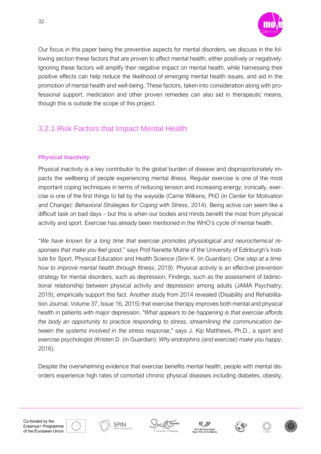

Our focus in this paper being the preventive aspects for mental disorders, we discuss in the following section these factors that are proven to affect mental health, either positively or negatively. Ignoring these factors will amplify their negative impact on mental health, while harnessing their positive effects can help reduce the likelihood of emerging mental health issues, and aid in the promotion of mental health and well-being. These factors, taken into consideration along with professional support, medication and other proven remedies can also aid in therapeutic means, though this is outside the scope of this project.

## <span id="page-31-0"></span>3.2.1 Risk Factors that Impact Mental Health

#### *Physical Inactivity*

Physical inactivity is a key contributor to the global burden of disease and disproportionately impacts the wellbeing of people experiencing mental illness. Regular exercise is one of the most important coping techniques in terms of reducing tension and increasing energy; ironically, exercise is one of the first things to fall by the wayside (Carrie Wilkens, PhD (in Center for Motivation and Change): *Behavioral Strategies for Coping with Stress*, 2014). Being active can seem like a difficult task on bad days – but this is when our bodies and minds benefit the most from physical activity and sport. Exercise has already been mentioned in the WHO's cycle of mental health.

"*We have known for a long time that exercise promotes physiological and neurochemical responses that make you feel good*," says Prof Nanette Mutrie of the University of Edinburgh's Institute for Sport, Physical Education and Health Science (Sirin K. (in Guardian): *One step at a time: how to improve mental health through fitness*, 2019). Physical activity is an effective prevention strategy for mental disorders, such as depression. Findings, such as the assessment of bidirectional relationship between physical activity and depression among adults (JAMA Psychiatry, 2019), empirically support this fact. Another study from 2014 revealed (Disability and Rehabilitation Journal, Volume 37, Issue 16, 2015) that exercise therapy improves both mental and physical health in patients with major depression. "*What appears to be happening is that exercise affords the body an opportunity to practice responding to stress, streamlining the communication between the systems involved in the stress response*," says J. Kip Matthews, Ph.D., a sport and exercise psychologist (Kristen D. (in Guardian): *Why endorphins (and exercise) make you happy*, 2016).

Despite the overwhelming evidence that exercise benefits mental health, people with mental disorders experience high rates of comorbid chronic physical diseases including diabetes, obesity,









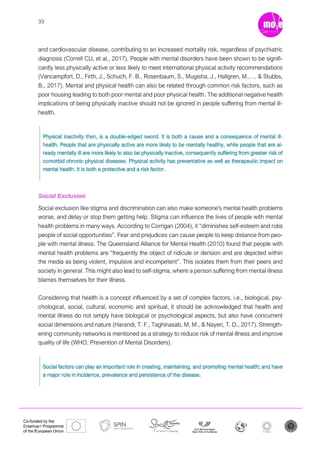

and cardiovascular disease, contributing to an increased mortality risk, regardless of psychiatric diagnosis (Correll CU, et al., 2017). People with mental disorders have been shown to be significantly less physically active or less likely to meet international physical activity recommendations (Vancampfort, D., Firth, J., Schuch, F. B., Rosenbaum, S., Mugisha, J., Hallgren, M., ... & Stubbs, B., 2017). Mental and physical health can also be related through common risk factors, such as poor housing leading to both poor mental and poor physical health. The additional negative health implications of being physically inactive should not be ignored in people suffering from mental illhealth.

Physical inactivity then, is a double-edged sword. It is both a cause and a consequence of mental illhealth. People that are physically active are more likely to be mentally healthy, while people that are already mentally ill are more likely to also be physically inactive, consequently suffering from greater risk of comorbid chronic physical diseases. Physical activity has preventative as well as therapeutic impact on mental health. It is both a protective and a risk factor.

#### *Social Exclusion*

Social exclusion like stigma and discrimination can also make someone's mental health problems worse, and delay or stop them getting help. Stigma can influence the lives of people with mental health problems in many ways. According to Corrigan (2004), it "diminishes self-esteem and robs people of social opportunities". Fear and prejudices can cause people to keep distance from people with mental illness. The Queensland Alliance for Mental Health (2010) found that people with mental health problems are "frequently the object of ridicule or derision and are depicted within the media as being violent, impulsive and incompetent". This isolates them from their peers and society in general. This might also lead to self-stigma, where a person suffering from mental illness blames themselves for their illness.

Considering that health is a concept influenced by a set of complex factors, i.e., biological, psychological, social, cultural, economic and spiritual, it should be acknowledged that health and mental illness do not simply have biological or psychological aspects, but also have concurrent social dimensions and nature (Harandi, T. F., Taghinasab, M. M., & Nayeri, T. D., 2017). Strengthening community networks is mentioned as a strategy to reduce risk of mental illness and improve quality of life (WHO, Prevention of Mental Disorders).

Social factors can play an important role in creating, maintaining, and promoting mental health; and have a major role in incidence, prevalence and persistence of the disease.





**SPIN** 







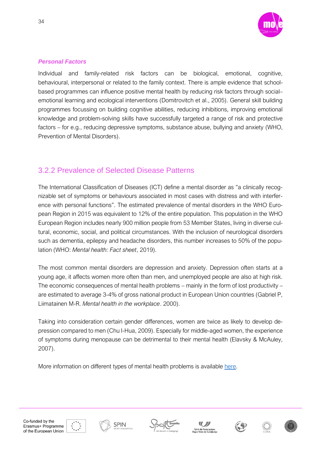

#### *Personal Factors*

Individual and family-related risk factors can be biological, emotional, cognitive, behavioural, interpersonal or related to the family context. There is ample evidence that schoolbased programmes can influence positive mental health by reducing risk factors through social– emotional learning and ecological interventions (Domitrovitch et al., 2005). General skill building programmes focussing on building cognitive abilities, reducing inhibitions, improving emotional knowledge and problem-solving skills have successfully targeted a range of risk and protective factors – for e.g., reducing depressive symptoms, substance abuse, bullying and anxiety (WHO, Prevention of Mental Disorders).

### <span id="page-33-0"></span>3.2.2 Prevalence of Selected Disease Patterns

The International Classification of Diseases (ICT) define a mental disorder as "a clinically recognizable set of symptoms or behaviours associated in most cases with distress and with interference with personal functions". The estimated prevalence of mental disorders in the WHO European Region in 2015 was equivalent to 12% of the entire population. This population in the WHO European Region includes nearly 900 million people from 53 Member States, living in diverse cultural, economic, social, and political circumstances. With the inclusion of neurological disorders such as dementia, epilepsy and headache disorders, this number increases to 50% of the population (WHO: *Mental health: Fact sheet*, 2019).

The most common mental disorders are depression and anxiety. Depression often starts at a young age, it affects women more often than men, and unemployed people are also at high risk. The economic consequences of mental health problems – mainly in the form of lost productivity – are estimated to average 3-4% of gross national product in European Union countries (Gabriel P, Liimatainen M-R. *Mental health in the workplace*. 2000).

Taking into consideration certain gender differences, women are twice as likely to develop depression compared to men (Chu I-Hua, 2009). Especially for middle-aged women, the experience of symptoms during menopause can be detrimental to their mental health (Elavsky & McAuley, 2007).

More information on different types of mental health problems is available [here.](https://www.mind.org.uk/information-support/types-of-mental-health-problems/)









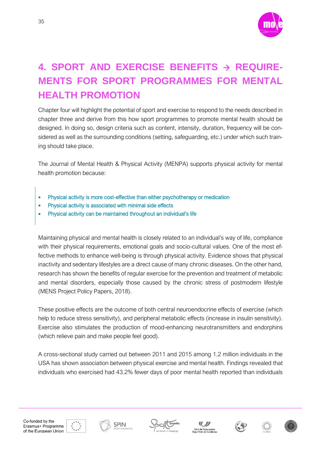

## <span id="page-34-0"></span>**4. SPORT AND EXERCISE BENEFITS** → **REQUIRE-MENTS FOR SPORT PROGRAMMES FOR MENTAL HEALTH PROMOTION**

Chapter four will highlight the potential of sport and exercise to respond to the needs described in chapter three and derive from this how sport programmes to promote mental health should be designed. In doing so, design criteria such as content, intensity, duration, frequency will be considered as well as the surrounding conditions (setting, safeguarding, etc.) under which such training should take place.

The Journal of Mental Health & Physical Activity (MENPA) supports physical activity for mental health promotion because:

- Physical activity is more cost-effective than either psychotherapy or medication
- Physical activity is associated with minimal side effects
- Physical activity can be maintained throughout an individual's life

Maintaining physical and mental health is closely related to an individual's way of life, compliance with their physical requirements, emotional goals and socio-cultural values. One of the most effective methods to enhance well-being is through physical activity. Evidence shows that physical inactivity and sedentary lifestyles are a direct cause of many chronic diseases. On the other hand, research has shown the benefits of regular exercise for the prevention and treatment of metabolic and mental disorders, especially those caused by the chronic stress of postmodern lifestyle (MENS Project Policy Papers, 2018).

These positive effects are the outcome of both central neuroendocrine effects of exercise (which help to reduce stress sensitivity), and peripheral metabolic effects (increase in insulin sensitivity). Exercise also stimulates the production of mood-enhancing neurotransmitters and endorphins (which relieve pain and make people feel good).

A cross-sectional study carried out between 2011 and 2015 among 1.2 million individuals in the USA has shown association between physical exercise and mental health. Findings revealed that individuals who exercised had 43.2% fewer days of poor mental health reported than individuals









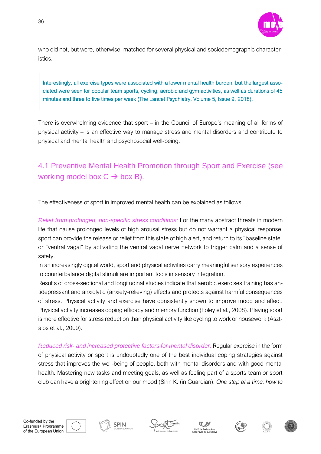

who did not, but were, otherwise, matched for several physical and sociodemographic characteristics.

Interestingly, all exercise types were associated with a lower mental health burden, but the largest associated were seen for popular team sports, cycling, aerobic and gym activities, as well as durations of 45 minutes and three to five times per week (The Lancet Psychiatry, Volume 5, Issue 9, 2018).

There is overwhelming evidence that sport – in the Council of Europe's meaning of all forms of physical activity – is an effective way to manage stress and mental disorders and contribute to physical and mental health and psychosocial well-being.

## <span id="page-35-0"></span>4.1 Preventive Mental Health Promotion through Sport and Exercise (see working model box  $C \rightarrow$  box B).

The effectiveness of sport in improved mental health can be explained as follows:

*Relief from prolonged, non-specific stress conditions:* For the many abstract threats in modern life that cause prolonged levels of high arousal stress but do not warrant a physical response, sport can provide the release or relief from this state of high alert, and return to its "baseline state" or "ventral vagal" by activating the ventral vagal nerve network to trigger calm and a sense of safety.

In an increasingly digital world, sport and physical activities carry meaningful sensory experiences to counterbalance digital stimuli are important tools in sensory integration.

Results of cross-sectional and longitudinal studies indicate that aerobic exercises training has antidepressant and anxiolytic (anxiety-relieving) effects and protects against harmful consequences of stress. Physical activity and exercise have consistently shown to improve mood and affect. Physical activity increases coping efficacy and memory function (Foley et al., 2008). Playing sport is more effective for stress reduction than physical activity like cycling to work or housework (Asztalos et al., 2009).

*Reduced risk- and increased protective factors for mental disorder:* Regular exercise in the form of physical activity or sport is undoubtedly one of the best individual coping strategies against stress that improves the well-being of people, both with mental disorders and with good mental health. Mastering new tasks and meeting goals, as well as feeling part of a sports team or sport club can have a brightening effect on our mood (Sirin K. (in Guardian): *One step at a time: how to* 









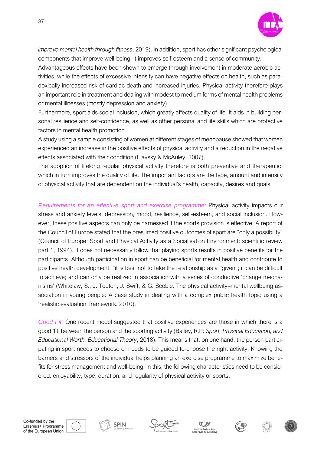

*improve mental health through fitness*, 2019). In addition, sport has other significant psychological components that improve well-being: it improves self-esteem and a sense of community.

Advantageous effects have been shown to emerge through involvement in moderate aerobic activities, while the effects of excessive intensity can have negative effects on health, such as paradoxically increased risk of cardiac death and increased injuries. Physical activity therefore plays an important role in treatment and dealing with modest to medium forms of mental health problems or mental illnesses (mostly depression and anxiety).

Furthermore, sport aids social inclusion, which greatly affects quality of life. It aids in building personal resilience and self-confidence, as well as other personal and life skills which are protective factors in mental health promotion.

A study using a sample consisting of women at different stages of menopause showed that women experienced an increase in the positive effects of physical activity and a reduction in the negative effects associated with their condition (Elavsky & McAuley, 2007).

The adoption of lifelong regular physical activity therefore is both preventive and therapeutic, which in turn improves the quality of life. The important factors are the type, amount and intensity of physical activity that are dependent on the individual's health, capacity, desires and goals.

*Requirements for an effective sport and exercise programme:* Physical activity impacts our stress and anxiety levels, depression, mood, resilience, self-esteem, and social inclusion. However, these positive aspects can only be harnessed if the sports provision is effective. A report of the Council of Europe stated that the presumed positive outcomes of sport are "only a possibility" (Council of Europe: Sport and Physical Activity as a Socialisation Environment: scientific review part 1, 1994). It does not necessarily follow that playing sports results in positive benefits for the participants. Although participation in sport can be beneficial for mental health and contribute to positive health development, "it is best not to take the relationship as a "given"; it can be difficult to achieve; and can only be realized in association with a series of conductive 'change mechanisms' (Whitelaw, S., J. Teuton, J. Swift, & G. Scobie. The physical activity–mental wellbeing association in young people: A case study in dealing with a complex public health topic using a 'realistic evaluation' framework. 2010).

*Good Fit:* One recent model suggested that positive experiences are those in which there is a good 'fit' between the person and the sporting activity (Bailey, R.P: *Sport, Physical Education, and Educational Worth. Educational Theory*, 2018). This means that, on one hand, the person participating in sport needs to choose or needs to be guided to choose the right activity. Knowing the barriers and stressors of the individual helps planning an exercise programme to maximize benefits for stress management and well-being. In this, the following characteristics need to be considered: enjoyability, type, duration, and regularity of physical activity or sports.











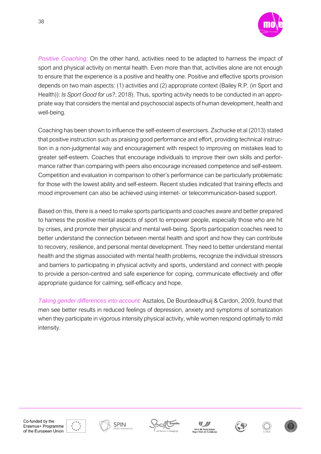

*Positive Coaching:* On the other hand, activities need to be adapted to harness the impact of sport and physical activity on mental health. Even more than that, activities alone are not enough to ensure that the experience is a positive and healthy one. Positive and effective sports provision depends on two main aspects: (1) activities and (2) appropriate context (Bailey R.P. (in Sport and Health)): *Is Sport Good for us?*, 2018). Thus, sporting activity needs to be conducted in an appropriate way that considers the mental and psychosocial aspects of human development, health and well-being.

Coaching has been shown to influence the self-esteem of exercisers. Zschucke et al (2013) stated that positive instruction such as praising good performance and effort, providing technical instruction in a non-judgmental way and encouragement with respect to improving on mistakes lead to greater self-esteem. Coaches that encourage individuals to improve their own skills and performance rather than comparing with peers also encourage increased competence and self-esteem. Competition and evaluation in comparison to other's performance can be particularly problematic for those with the lowest ability and self-esteem. Recent studies indicated that training effects and mood improvement can also be achieved using internet- or telecommunication-based support.

Based on this, there is a need to make sports participants and coaches aware and better prepared to harness the positive mental aspects of sport to empower people, especially those who are hit by crises, and promote their physical and mental well-being. Sports participation coaches need to better understand the connection between mental health and sport and how they can contribute to recovery, resilience, and personal mental development. They need to better understand mental health and the stigmas associated with mental health problems, recognize the individual stressors and barriers to participating in physical activity and sports, understand and connect with people to provide a person-centred and safe experience for coping, communicate effectively and offer appropriate guidance for calming, self-efficacy and hope.

*Taking gender differences into account:* Asztalos, De Bourdeaudhuij & Cardon, 2009, found that men see better results in reduced feelings of depression, anxiety and symptoms of somatization when they participate in vigorous intensity physical activity, while women respond optimally to mild intensity.













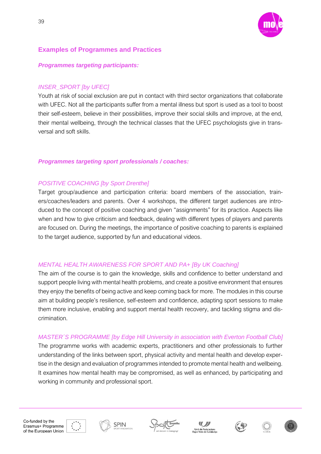

#### <span id="page-38-0"></span>**Examples of Programmes and Practices**

#### *Programmes targeting participants:*

#### *INSER\_SPORT [by UFEC]*

Youth at risk of social exclusion are put in contact with third sector organizations that collaborate with UFEC. Not all the participants suffer from a mental illness but sport is used as a tool to boost their self-esteem, believe in their possibilities, improve their social skills and improve, at the end, their mental wellbeing, through the technical classes that the UFEC psychologists give in transversal and soft skills.

#### *Programmes targeting sport professionals / coaches:*

#### *POSITIVE COACHING [by Sport Drenthe]*

Target group/audience and participation criteria: board members of the association, trainers/coaches/leaders and parents. Over 4 workshops, the different target audiences are introduced to the concept of positive coaching and given "assignments" for its practice. Aspects like when and how to give criticism and feedback, dealing with different types of players and parents are focused on. During the meetings, the importance of positive coaching to parents is explained to the target audience, supported by fun and educational videos.

#### *MENTAL HEALTH AWARENESS FOR SPORT AND PA+ [By UK Coaching]*

The aim of the course is to gain the knowledge, skills and confidence to better understand and support people living with mental health problems, and create a positive environment that ensures they enjoy the benefits of being active and keep coming back for more. The modules in this course aim at building people's resilience, self-esteem and confidence, adapting sport sessions to make them more inclusive, enabling and support mental health recovery, and tackling stigma and discrimination.

#### *MASTER´S PROGRAMME [by Edge Hill University in association with Everton Football Club]*

The programme works with academic experts, practitioners and other professionals to further understanding of the links between sport, physical activity and mental health and develop expertise in the design and evaluation of programmes intended to promote mental health and wellbeing. It examines how mental health may be compromised, as well as enhanced, by participating and working in community and professional sport.









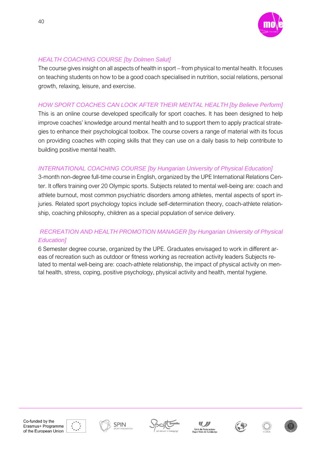

#### *HEALTH COACHING COURSE [by Dolmen Salut]*

The course gives insight on all aspects of health in sport – from physical to mental health. It focuses on teaching students on how to be a good coach specialised in nutrition, social relations, personal growth, relaxing, leisure, and exercise.

#### *HOW SPORT COACHES CAN LOOK AFTER THEIR MENTAL HEALTH [by Believe Perform]*

This is an online course developed specifically for sport coaches. It has been designed to help improve coaches' knowledge around mental health and to support them to apply practical strategies to enhance their psychological toolbox. The course covers a range of material with its focus on providing coaches with coping skills that they can use on a daily basis to help contribute to building positive mental health.

#### *INTERNATIONAL COACHING COURSE [by Hungarian University of Physical Education]*

3-month non-degree full-time course in English, organized by the UPE International Relations Center. It offers training over 20 Olympic sports. Subjects related to mental well-being are: coach and athlete burnout, most common psychiatric disorders among athletes, mental aspects of sport injuries. Related sport psychology topics include self-determination theory, coach-athlete relationship, coaching philosophy, children as a special population of service delivery.

#### *RECREATION AND HEALTH PROMOTION MANAGER [by Hungarian University of Physical Education]*

6 Semester degree course, organized by the UPE. Graduates envisaged to work in different areas of recreation such as outdoor or fitness working as recreation activity leaders Subjects related to mental well-being are: coach-athlete relationship, the impact of physical activity on mental health, stress, coping, positive psychology, physical activity and health, mental hygiene.



**SPIN** 







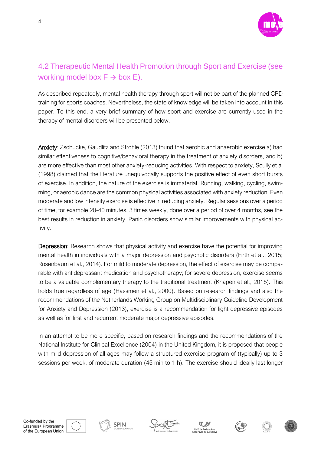

## <span id="page-40-0"></span>4.2 Therapeutic Mental Health Promotion through Sport and Exercise (see working model box  $F \rightarrow$  box E).

As described repeatedly, mental health therapy through sport will not be part of the planned CPD training for sports coaches. Nevertheless, the state of knowledge will be taken into account in this paper. To this end, a very brief summary of how sport and exercise are currently used in the therapy of mental disorders will be presented below.

Anxiety: Zschucke, Gaudlitz and Strohle (2013) found that aerobic and anaerobic exercise a) had similar effectiveness to cognitive/behavioral therapy in the treatment of anxiety disorders, and b) are more effective than most other anxiety-reducing activities. With respect to anxiety, Scully et al (1998) claimed that the literature unequivocally supports the positive effect of even short bursts of exercise. In addition, the nature of the exercise is immaterial. Running, walking, cycling, swimming, or aerobic dance are the common physical activities associated with anxiety reduction. Even moderate and low intensity exercise is effective in reducing anxiety. Regular sessions over a period of time, for example 20-40 minutes, 3 times weekly, done over a period of over 4 months, see the best results in reduction in anxiety. Panic disorders show similar improvements with physical activity.

Depression: Research shows that physical activity and exercise have the potential for improving mental health in individuals with a major depression and psychotic disorders (Firth et al., 2015; Rosenbaum et al., 2014). For mild to moderate depression, the effect of exercise may be comparable with antidepressant medication and psychotherapy; for severe depression, exercise seems to be a valuable complementary therapy to the traditional treatment (Knapen et al., 2015). This holds true regardless of age (Hassmen et al., 2000). Based on research findings and also the recommendations of the Netherlands Working Group on Multidisciplinary Guideline Development for Anxiety and Depression (2013), exercise is a recommendation for light depressive episodes as well as for first and recurrent moderate major depressive episodes.

In an attempt to be more specific, based on research findings and the recommendations of the National Institute for Clinical Excellence (2004) in the United Kingdom, it is proposed that people with mild depression of all ages may follow a structured exercise program of (typically) up to 3 sessions per week, of moderate duration (45 min to 1 h). The exercise should ideally last longer

41









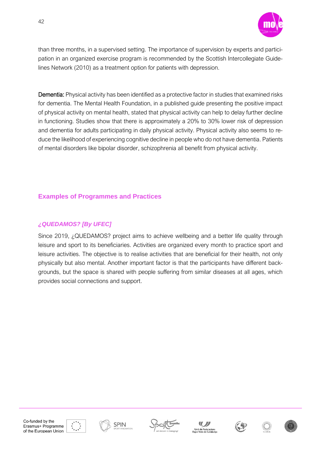

than three months, in a supervised setting. The importance of supervision by experts and participation in an organized exercise program is recommended by the Scottish Intercollegiate Guidelines Network (2010) as a treatment option for patients with depression.

Dementia: Physical activity has been identified as a protective factor in studies that examined risks for dementia. The Mental Health Foundation, in a published guide presenting the positive impact of physical activity on mental health, stated that physical activity can help to delay further decline in functioning. Studies show that there is approximately a 20% to 30% lower risk of depression and dementia for adults participating in daily physical activity. Physical activity also seems to reduce the likelihood of experiencing cognitive decline in people who do not have dementia. Patients of mental disorders like bipolar disorder, schizophrenia all benefit from physical activity.

#### <span id="page-41-0"></span>**Examples of Programmes and Practices**

#### *¿QUEDAMOS? [By UFEC]*

Since 2019, ¿QUEDAMOS? project aims to achieve wellbeing and a better life quality through leisure and sport to its beneficiaries. Activities are organized every month to practice sport and leisure activities. The objective is to realise activities that are beneficial for their health, not only physically but also mental. Another important factor is that the participants have different backgrounds, but the space is shared with people suffering from similar diseases at all ages, which provides social connections and support.